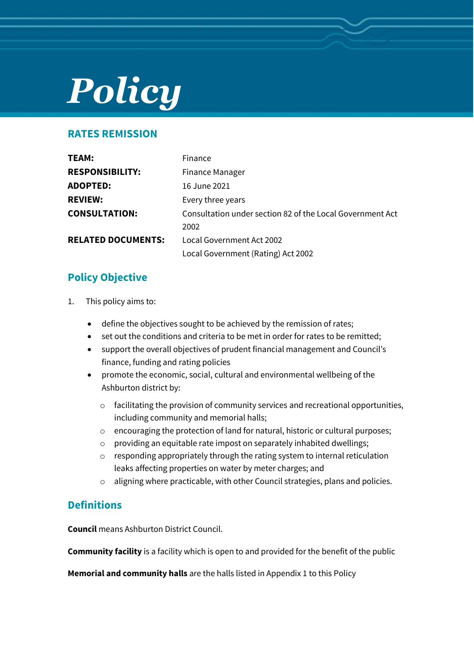# *Policy*

## **RATES REMISSION**

| TEAM:                     | Finance                                                   |
|---------------------------|-----------------------------------------------------------|
| <b>RESPONSIBILITY:</b>    | <b>Finance Manager</b>                                    |
| <b>ADOPTED:</b>           | 16 June 2021                                              |
| <b>REVIEW:</b>            | Every three years                                         |
| <b>CONSULTATION:</b>      | Consultation under section 82 of the Local Government Act |
|                           | 2002                                                      |
| <b>RELATED DOCUMENTS:</b> | Local Government Act 2002                                 |
|                           | Local Government (Rating) Act 2002                        |

# **Policy Objective**

- 1. This policy aims to:
	- define the objectives sought to be achieved by the remission of rates;
	- set out the conditions and criteria to be met in order for rates to be remitted;
	- support the overall objectives of prudent financial management and Council's finance, funding and rating policies
	- promote the economic, social, cultural and environmental wellbeing of the Ashburton district by:
		- o facilitating the provision of community services and recreational opportunities, including community and memorial halls;
		- o encouraging the protection of land for natural, historic or cultural purposes;
		- o providing an equitable rate impost on separately inhabited dwellings;
		- o responding appropriately through the rating system to internal reticulation leaks affecting properties on water by meter charges; and
		- o aligning where practicable, with other Council strategies, plans and policies.

## **Definitions**

**Council** means Ashburton District Council.

**Community facility** is a facility which is open to and provided for the benefit of the public

**Memorial and community halls** are the halls listed in Appendix 1 to this Policy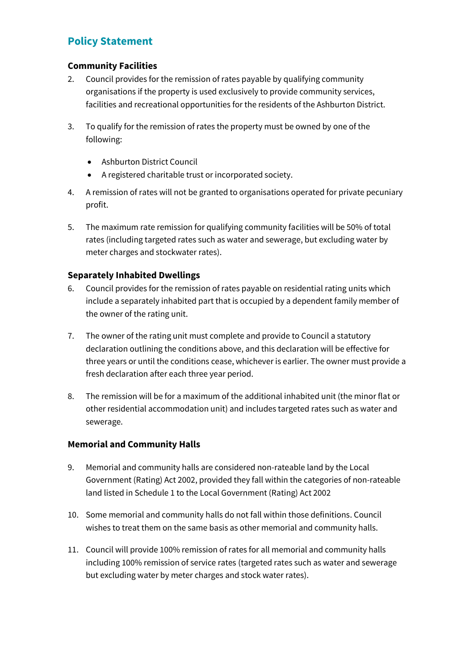# **Policy Statement**

#### **Community Facilities**

- 2. Council provides for the remission of rates payable by qualifying community organisations if the property is used exclusively to provide community services, facilities and recreational opportunities for the residents of the Ashburton District.
- 3. To qualify for the remission of rates the property must be owned by one of the following:
	- Ashburton District Council
	- A registered charitable trust or incorporated society.
- 4. A remission of rates will not be granted to organisations operated for private pecuniary profit.
- 5. The maximum rate remission for qualifying community facilities will be 50% of total rates (including targeted rates such as water and sewerage, but excluding water by meter charges and stockwater rates).

## **Separately Inhabited Dwellings**

- 6. Council provides for the remission of rates payable on residential rating units which include a separately inhabited part that is occupied by a dependent family member of the owner of the rating unit.
- 7. The owner of the rating unit must complete and provide to Council a statutory declaration outlining the conditions above, and this declaration will be effective for three years or until the conditions cease, whichever is earlier. The owner must provide a fresh declaration after each three year period.
- 8. The remission will be for a maximum of the additional inhabited unit (the minor flat or other residential accommodation unit) and includes targeted rates such as water and sewerage.

#### **Memorial and Community Halls**

- 9. Memorial and community halls are considered non-rateable land by the Local Government (Rating) Act 2002, provided they fall within the categories of non-rateable land listed in Schedule 1 to the Local Government (Rating) Act 2002
- 10. Some memorial and community halls do not fall within those definitions. Council wishes to treat them on the same basis as other memorial and community halls.
- 11. Council will provide 100% remission of rates for all memorial and community halls including 100% remission of service rates (targeted rates such as water and sewerage but excluding water by meter charges and stock water rates).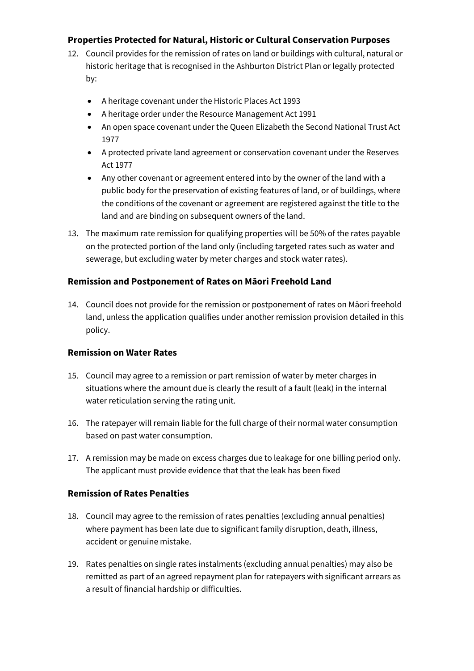### **Properties Protected for Natural, Historic or Cultural Conservation Purposes**

- 12. Council provides for the remission of rates on land or buildings with cultural, natural or historic heritage that is recognised in the Ashburton District Plan or legally protected by:
	- A heritage covenant under the Historic Places Act 1993
	- A heritage order under the Resource Management Act 1991
	- An open space covenant under the Queen Elizabeth the Second National Trust Act 1977
	- A protected private land agreement or conservation covenant under the Reserves Act 1977
	- Any other covenant or agreement entered into by the owner of the land with a public body for the preservation of existing features of land, or of buildings, where the conditions of the covenant or agreement are registered against the title to the land and are binding on subsequent owners of the land.
- 13. The maximum rate remission for qualifying properties will be 50% of the rates payable on the protected portion of the land only (including targeted rates such as water and sewerage, but excluding water by meter charges and stock water rates).

#### **Remission and Postponement of Rates on Māori Freehold Land**

14. Council does not provide for the remission or postponement of rates on Māori freehold land, unless the application qualifies under another remission provision detailed in this policy.

#### **Remission on Water Rates**

- 15. Council may agree to a remission or part remission of water by meter charges in situations where the amount due is clearly the result of a fault (leak) in the internal water reticulation serving the rating unit.
- 16. The ratepayer will remain liable for the full charge of their normal water consumption based on past water consumption.
- 17. A remission may be made on excess charges due to leakage for one billing period only. The applicant must provide evidence that that the leak has been fixed

#### **Remission of Rates Penalties**

- 18. Council may agree to the remission of rates penalties (excluding annual penalties) where payment has been late due to significant family disruption, death, illness, accident or genuine mistake.
- 19. Rates penalties on single rates instalments (excluding annual penalties) may also be remitted as part of an agreed repayment plan for ratepayers with significant arrears as a result of financial hardship or difficulties.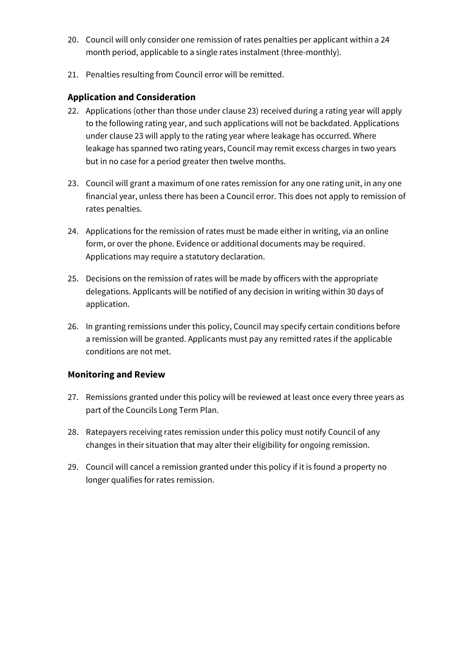- 20. Council will only consider one remission of rates penalties per applicant within a 24 month period, applicable to a single rates instalment (three-monthly).
- 21. Penalties resulting from Council error will be remitted.

### **Application and Consideration**

- 22. Applications (other than those under clause 23) received during a rating year will apply to the following rating year, and such applications will not be backdated. Applications under clause 23 will apply to the rating year where leakage has occurred. Where leakage has spanned two rating years, Council may remit excess charges in two years but in no case for a period greater then twelve months.
- 23. Council will grant a maximum of one rates remission for any one rating unit, in any one financial year, unless there has been a Council error. This does not apply to remission of rates penalties.
- 24. Applications for the remission of rates must be made either in writing, via an online form, or over the phone. Evidence or additional documents may be required. Applications may require a statutory declaration.
- 25. Decisions on the remission of rates will be made by officers with the appropriate delegations. Applicants will be notified of any decision in writing within 30 days of application.
- 26. In granting remissions under this policy, Council may specify certain conditions before a remission will be granted. Applicants must pay any remitted rates if the applicable conditions are not met.

#### **Monitoring and Review**

- 27. Remissions granted under this policy will be reviewed at least once every three years as part of the Councils Long Term Plan.
- 28. Ratepayers receiving rates remission under this policy must notify Council of any changes in their situation that may alter their eligibility for ongoing remission.
- 29. Council will cancel a remission granted under this policy if it is found a property no longer qualifies for rates remission.